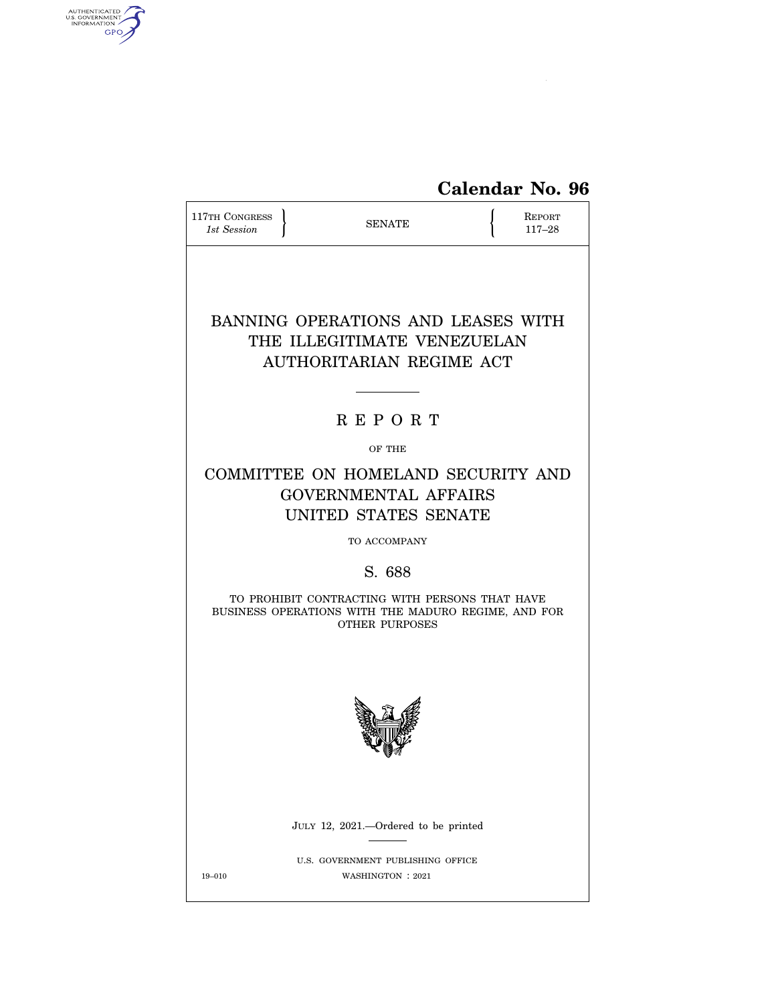# **Calendar No. 96**

| 117TH CONGRESS<br>1st Session                                                                                           | <b>SENATE</b>                                                                                             |  | REPORT<br>$117 - 28$ |  |  |  |
|-------------------------------------------------------------------------------------------------------------------------|-----------------------------------------------------------------------------------------------------------|--|----------------------|--|--|--|
| BANNING OPERATIONS AND LEASES WITH<br>THE ILLEGITIMATE VENEZUELAN<br>AUTHORITARIAN REGIME ACT                           |                                                                                                           |  |                      |  |  |  |
|                                                                                                                         | <b>REPORT</b>                                                                                             |  |                      |  |  |  |
|                                                                                                                         | OF THE                                                                                                    |  |                      |  |  |  |
|                                                                                                                         | COMMITTEE ON HOMELAND SECURITY AND<br><b>GOVERNMENTAL AFFAIRS</b><br>UNITED STATES SENATE<br>TO ACCOMPANY |  |                      |  |  |  |
|                                                                                                                         | S. 688                                                                                                    |  |                      |  |  |  |
| TO PROHIBIT CONTRACTING WITH PERSONS THAT HAVE<br>BUSINESS OPERATIONS WITH THE MADURO REGIME, AND FOR<br>OTHER PURPOSES |                                                                                                           |  |                      |  |  |  |
|                                                                                                                         |                                                                                                           |  |                      |  |  |  |
|                                                                                                                         | JULY 12, 2021.—Ordered to be printed                                                                      |  |                      |  |  |  |
| $19 - 010$                                                                                                              | U.S. GOVERNMENT PUBLISHING OFFICE<br>WASHINGTON : 2021                                                    |  |                      |  |  |  |

AUTHENTICATED

 $\widehat{\mathbf{c}}$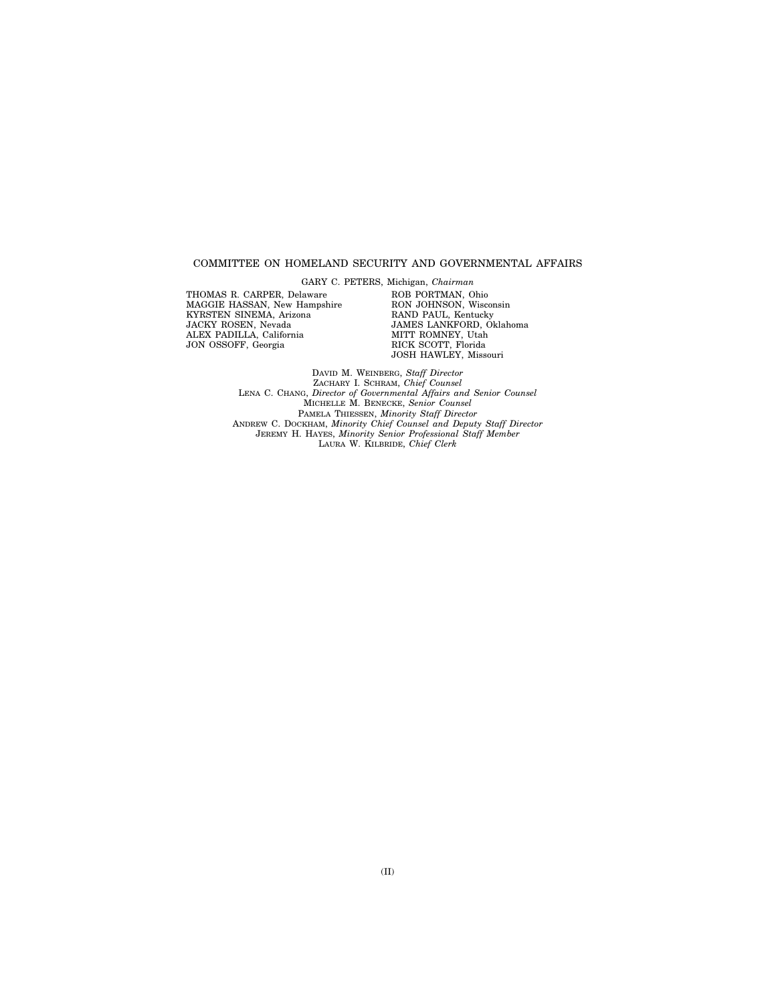#### COMMITTEE ON HOMELAND SECURITY AND GOVERNMENTAL AFFAIRS

THOMAS R. CARPER, Delaware MAGGIE HASSAN, New Hampshire KYRSTEN SINEMA, Arizona JACKY ROSEN, Nevada ALEX PADILLA, California JON OSSOFF, Georgia

GARY C. PETERS, Michigan, *Chairman*  ROB PORTMAN, Ohio RON JOHNSON, Wisconsin RAND PAUL, Kentucky JAMES LANKFORD, Oklahoma MITT ROMNEY, Utah RICK SCOTT, Florida JOSH HAWLEY, Missouri

DAVID M. WEINBERG, *Staff Director*  ZACHARY I. SCHRAM, *Chief Counsel*  LENA C. CHANG, *Director of Governmental Affairs and Senior Counsel*  MICHELLE M. BENECKE, *Senior Counsel*  PAMELA THIESSEN, *Minority Staff Director*  ANDREW C. DOCKHAM, *Minority Chief Counsel and Deputy Staff Director*  JEREMY H. HAYES, *Minority Senior Professional Staff Member*  LAURA W. KILBRIDE, *Chief Clerk*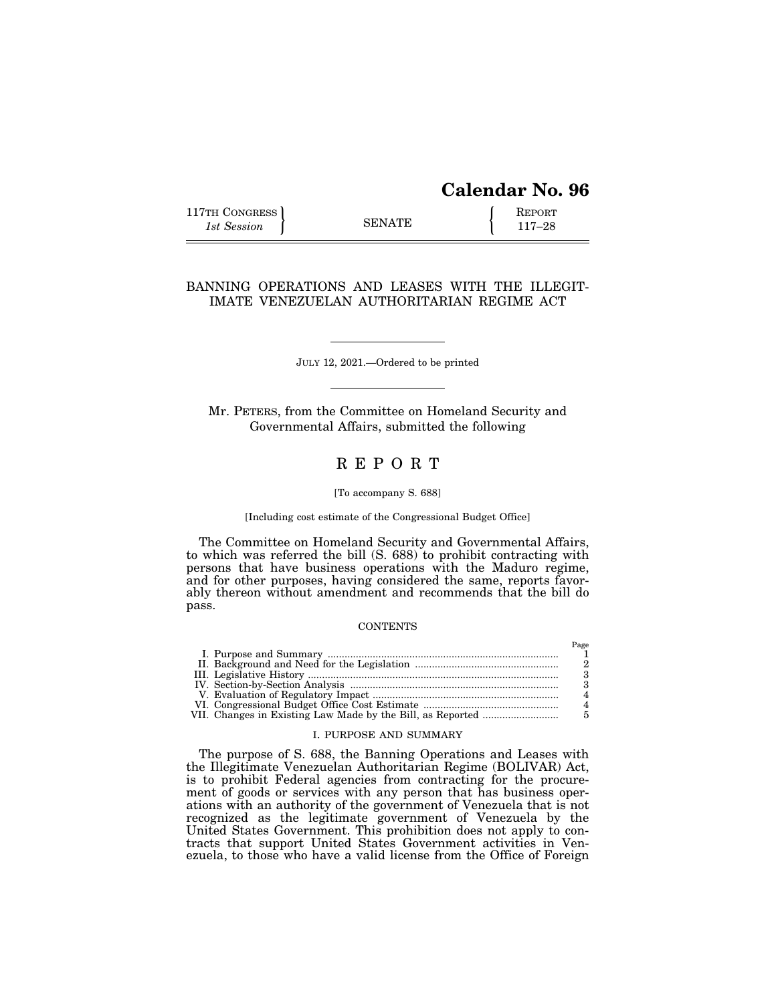## **Calendar No. 96**

| 117TH CONGRESS |               | <b>REPORT</b> |
|----------------|---------------|---------------|
| 1st Session    | <b>SENATE</b> | $117 - 28$    |

### BANNING OPERATIONS AND LEASES WITH THE ILLEGIT-IMATE VENEZUELAN AUTHORITARIAN REGIME ACT

JULY 12, 2021.—Ordered to be printed

Mr. PETERS, from the Committee on Homeland Security and Governmental Affairs, submitted the following

## R E P O R T

#### [To accompany S. 688]

[Including cost estimate of the Congressional Budget Office]

The Committee on Homeland Security and Governmental Affairs, to which was referred the bill (S. 688) to prohibit contracting with persons that have business operations with the Maduro regime, and for other purposes, having considered the same, reports favorably thereon without amendment and recommends that the bill do pass.

#### **CONTENTS**

#### I. PURPOSE AND SUMMARY

The purpose of S. 688, the Banning Operations and Leases with the Illegitimate Venezuelan Authoritarian Regime (BOLIVAR) Act, is to prohibit Federal agencies from contracting for the procurement of goods or services with any person that has business operations with an authority of the government of Venezuela that is not recognized as the legitimate government of Venezuela by the United States Government. This prohibition does not apply to contracts that support United States Government activities in Venezuela, to those who have a valid license from the Office of Foreign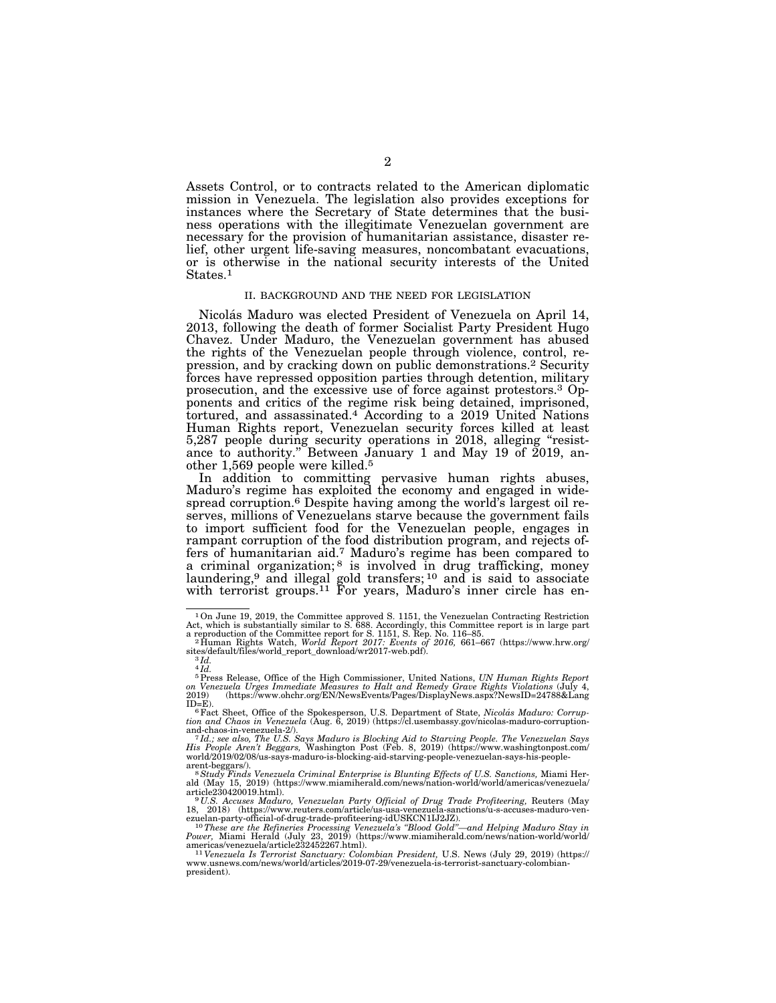Assets Control, or to contracts related to the American diplomatic mission in Venezuela. The legislation also provides exceptions for instances where the Secretary of State determines that the business operations with the illegitimate Venezuelan government are necessary for the provision of humanitarian assistance, disaster relief, other urgent life-saving measures, noncombatant evacuations, or is otherwise in the national security interests of the United States.<sup>1</sup>

#### II. BACKGROUND AND THE NEED FOR LEGISLATION

Nicolás Maduro was elected President of Venezuela on April 14, 2013, following the death of former Socialist Party President Hugo Chavez. Under Maduro, the Venezuelan government has abused the rights of the Venezuelan people through violence, control, repression, and by cracking down on public demonstrations.2 Security forces have repressed opposition parties through detention, military prosecution, and the excessive use of force against protestors.3 Opponents and critics of the regime risk being detained, imprisoned, tortured, and assassinated.<sup>4</sup> According to a 2019 United Nations Human Rights report, Venezuelan security forces killed at least 5,287 people during security operations in 2018, alleging ''resistance to authority.'' Between January 1 and May 19 of 2019, another 1,569 people were killed.5

In addition to committing pervasive human rights abuses, Maduro's regime has exploited the economy and engaged in widespread corruption.<sup>6</sup> Despite having among the world's largest oil reserves, millions of Venezuelans starve because the government fails to import sufficient food for the Venezuelan people, engages in rampant corruption of the food distribution program, and rejects offers of humanitarian aid.<sup>7</sup> Maduro's regime has been compared to a criminal organization;<sup>8</sup> is involved in drug trafficking, money laundering,<sup>9</sup> and illegal gold transfers;  $10$  and is said to associate with terrorist groups.<sup>11</sup> For years, Maduro's inner circle has en-

<sup>1</sup>On June 19, 2019, the Committee approved S. 1151, the Venezuelan Contracting Restriction Act, which is substantially similar to S. 688. Accordingly, this Committee report is in large part<br>a reproduction of the Committee report for S. 1151, S. Rep. No. 116–85.<br>"Phuman Rights Watch, *World Report 2017: Events of* 

sites/default/files/world\_report\_download/wr2017-web.pdf). 3 *Id.* 

 $4\overline{Id}$ .

<sup>5</sup>Press Release, Office of the High Commissioner, United Nations, *UN Human Rights Report on Venezuela Urges Immediate Measures to Halt and Remedy Grave Rights Violations* (July 4, 2019) (https://www.ohchr.org/EN/NewsEvents/Pages/DisplayNews.aspx?NewsID=24788&Lang<br>ID=F\

ID=E). 6Fact Sheet, Office of the Spokesperson, U.S. Department of State, *Nicola´ s Maduro: Corrup-tion and Chaos in Venezuela* (Aug. 6, 2019) (https://cl.usembassy.gov/nicolas-maduro-corruptionand-chaos-in-venezuela-2/). 7 *Id.; see also, The U.S. Says Maduro is Blocking Aid to Starving People. The Venezuelan Says* 

*His People Aren't Beggars,* Washington Post (Feb. 8, 2019) (https://www.washingtonpost.com/ world/2019/02/08/us-says-maduro-is-blocking-aid-starving-people-venezuelan-says-his-people-

arent-beggars/).<br><sup>8</sup> S*tudy Finds Venezuela Criminal Enterprise is Blunting Effects of U.S. Sanctions, Miami Her-<br>ald (May 15, 2019) (https://www.miamiherald.com/news/nation-world/world/americas/venezuela/* 

article230420019.html).<br>
<sup>9</sup>U.S. Accuses Maduro, Venezuelan Party Official of Drug Trade Profiteering, Reuters (May<br>
18, 2018) (https://www.reuters.com/article/us-usa-venezuela-sanctions/u-s-accuses-maduro-ven-<br>
19. 2018)

 $^{11}Venezuela$  Is Terrorist Sanctuary: Colombian President, U.S. News (July 29, 2019) (https://www.usnews.com/news/world/articles/2019-07-29/venezuela-is-terrorist-sanctuary-colombianpresident).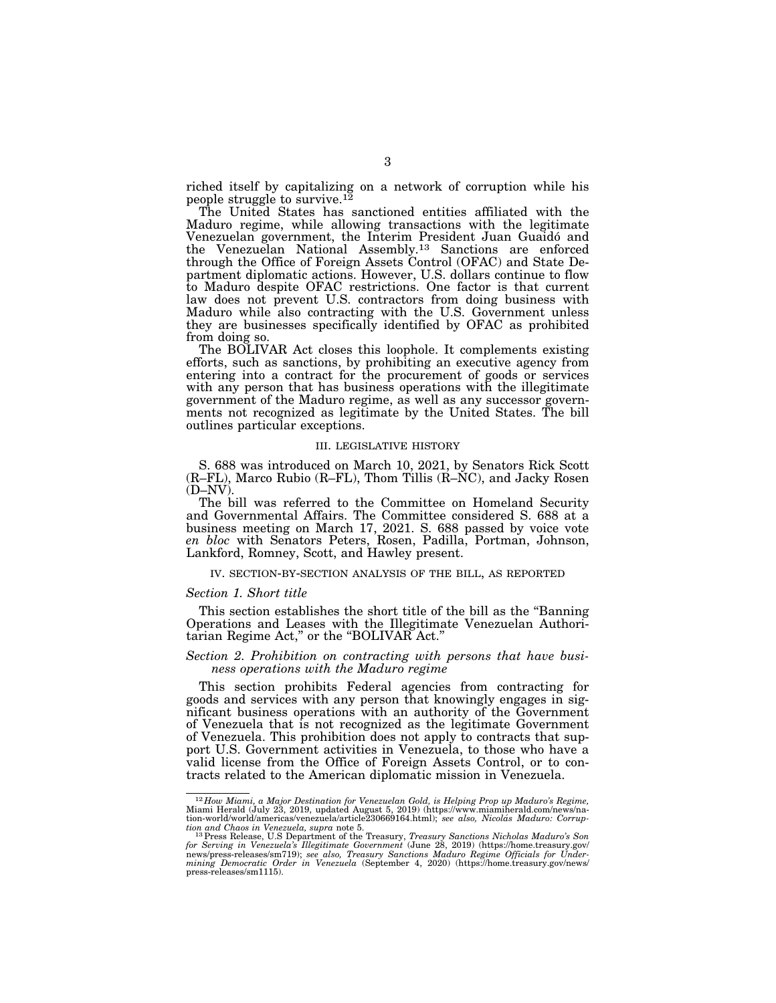riched itself by capitalizing on a network of corruption while his people struggle to survive.12

The United States has sanctioned entities affiliated with the Maduro regime, while allowing transactions with the legitimate Venezuelan government, the Interim President Juan Guaido´ and the Venezuelan National Assembly.13 Sanctions are enforced through the Office of Foreign Assets Control (OFAC) and State Department diplomatic actions. However, U.S. dollars continue to flow to Maduro despite OFAC restrictions. One factor is that current law does not prevent U.S. contractors from doing business with Maduro while also contracting with the U.S. Government unless they are businesses specifically identified by OFAC as prohibited from doing so.

The BOLIVAR Act closes this loophole. It complements existing efforts, such as sanctions, by prohibiting an executive agency from entering into a contract for the procurement of goods or services with any person that has business operations with the illegitimate government of the Maduro regime, as well as any successor governments not recognized as legitimate by the United States. The bill outlines particular exceptions.

#### III. LEGISLATIVE HISTORY

S. 688 was introduced on March 10, 2021, by Senators Rick Scott (R–FL), Marco Rubio (R–FL), Thom Tillis (R–NC), and Jacky Rosen (D–NV).

The bill was referred to the Committee on Homeland Security and Governmental Affairs. The Committee considered S. 688 at a business meeting on March 17, 2021. S. 688 passed by voice vote *en bloc* with Senators Peters, Rosen, Padilla, Portman, Johnson, Lankford, Romney, Scott, and Hawley present.

#### IV. SECTION-BY-SECTION ANALYSIS OF THE BILL, AS REPORTED

#### *Section 1. Short title*

This section establishes the short title of the bill as the ''Banning Operations and Leases with the Illegitimate Venezuelan Authoritarian Regime Act,'' or the ''BOLIVAR Act.''

#### *Section 2. Prohibition on contracting with persons that have business operations with the Maduro regime*

This section prohibits Federal agencies from contracting for goods and services with any person that knowingly engages in significant business operations with an authority of the Government of Venezuela that is not recognized as the legitimate Government of Venezuela. This prohibition does not apply to contracts that support U.S. Government activities in Venezuela, to those who have a valid license from the Office of Foreign Assets Control, or to contracts related to the American diplomatic mission in Venezuela.

 $^{12}$ How Miami, a Major Destination for Venezuelan Gold, is Helping Prop up Maduro's Regime,<br>Miami Herald (July 23, 2019, updated August 5, 2019) (https://www.miamiherald.com/news/na-<br>tion-world/world/americas/venezuela/

tion and Chaos in Venezuela, supra note 5.<br><sup>13</sup> Press Release, U.S Department of the Treasury, *Treasury Sanctions Nicholas Maduro's Son*<br>for *Serving in Venezuela's Illegitimate Government (*June 28, 2019) (https://home.t news/press-releases/sm719); *see also, Treasury Sanctions Maduro Regime Officials for Under-mining Democratic Order in Venezuela* (September 4, 2020) (https://home.treasury.gov/news/ press-releases/sm1115).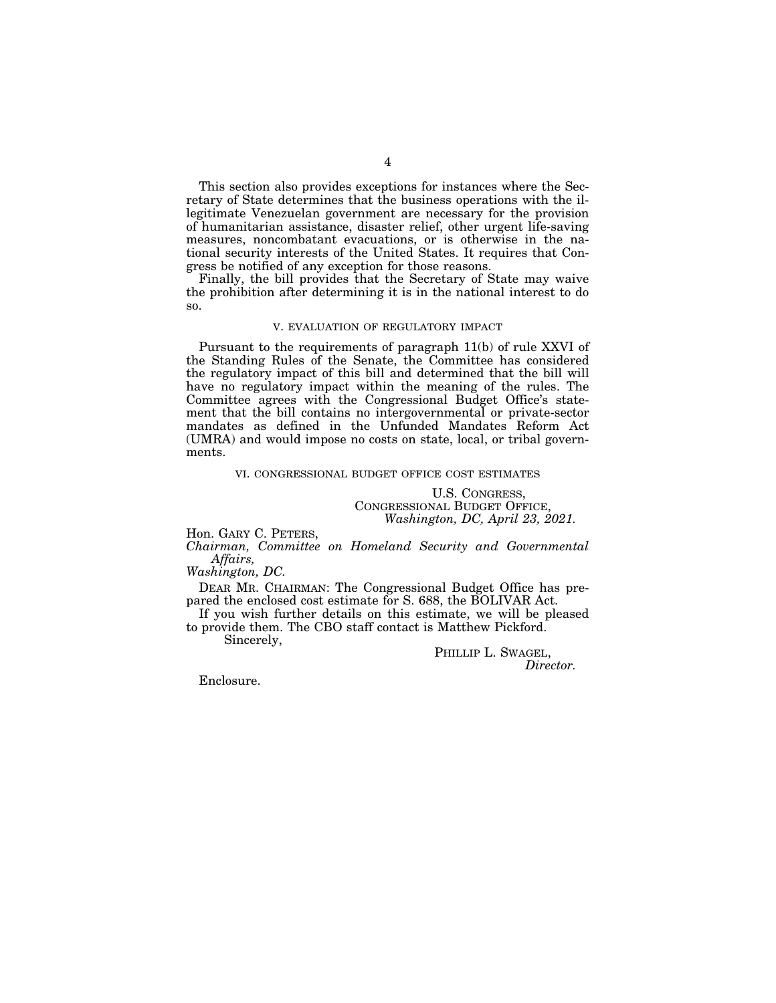This section also provides exceptions for instances where the Secretary of State determines that the business operations with the illegitimate Venezuelan government are necessary for the provision of humanitarian assistance, disaster relief, other urgent life-saving measures, noncombatant evacuations, or is otherwise in the national security interests of the United States. It requires that Congress be notified of any exception for those reasons.

Finally, the bill provides that the Secretary of State may waive the prohibition after determining it is in the national interest to do so.

#### V. EVALUATION OF REGULATORY IMPACT

Pursuant to the requirements of paragraph 11(b) of rule XXVI of the Standing Rules of the Senate, the Committee has considered the regulatory impact of this bill and determined that the bill will have no regulatory impact within the meaning of the rules. The Committee agrees with the Congressional Budget Office's statement that the bill contains no intergovernmental or private-sector mandates as defined in the Unfunded Mandates Reform Act (UMRA) and would impose no costs on state, local, or tribal governments.

#### VI. CONGRESSIONAL BUDGET OFFICE COST ESTIMATES

U.S. CONGRESS, CONGRESSIONAL BUDGET OFFICE, *Washington, DC, April 23, 2021.* 

Hon. GARY C. PETERS,

*Chairman, Committee on Homeland Security and Governmental Affairs,* 

*Washington, DC.* 

DEAR MR. CHAIRMAN: The Congressional Budget Office has prepared the enclosed cost estimate for S. 688, the BOLIVAR Act.

If you wish further details on this estimate, we will be pleased to provide them. The CBO staff contact is Matthew Pickford.

Sincerely,

PHILLIP L. SWAGEL, *Director.* 

Enclosure.